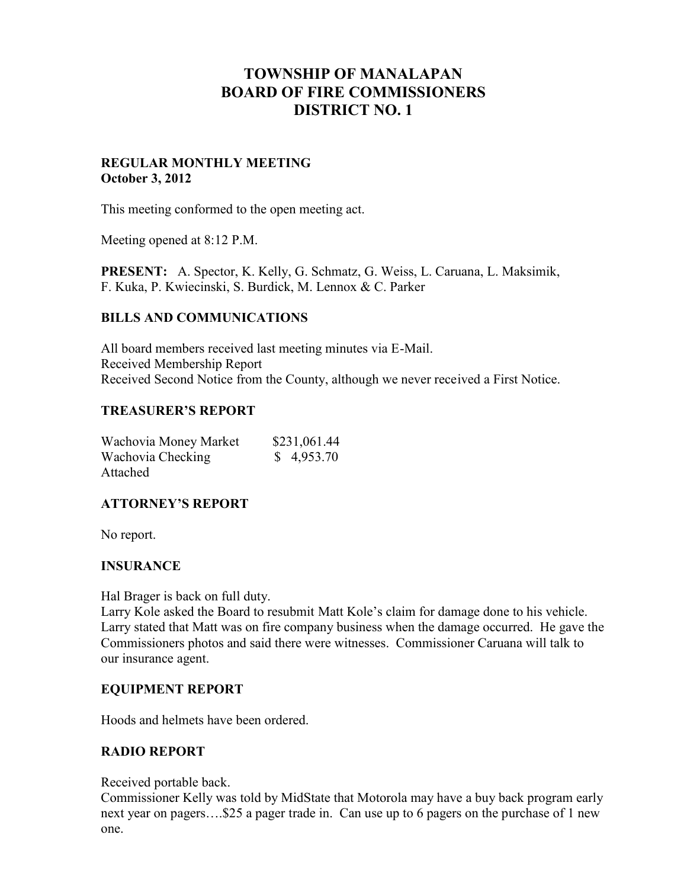# **TOWNSHIP OF MANALAPAN BOARD OF FIRE COMMISSIONERS DISTRICT NO. 1**

## **REGULAR MONTHLY MEETING October 3, 2012**

This meeting conformed to the open meeting act.

Meeting opened at 8:12 P.M.

**PRESENT:** A. Spector, K. Kelly, G. Schmatz, G. Weiss, L. Caruana, L. Maksimik, F. Kuka, P. Kwiecinski, S. Burdick, M. Lennox & C. Parker

#### **BILLS AND COMMUNICATIONS**

All board members received last meeting minutes via E-Mail. Received Membership Report Received Second Notice from the County, although we never received a First Notice.

#### **TREASURER'S REPORT**

| Wachovia Money Market | \$231,061.44 |
|-----------------------|--------------|
| Wachovia Checking     | \$4,953.70   |
| Attached              |              |

# **ATTORNEY'S REPORT**

No report.

# **INSURANCE**

Hal Brager is back on full duty.

Larry Kole asked the Board to resubmit Matt Kole's claim for damage done to his vehicle. Larry stated that Matt was on fire company business when the damage occurred. He gave the Commissioners photos and said there were witnesses. Commissioner Caruana will talk to our insurance agent.

#### **EQUIPMENT REPORT**

Hoods and helmets have been ordered.

#### **RADIO REPORT**

Received portable back.

Commissioner Kelly was told by MidState that Motorola may have a buy back program early next year on pagers….\$25 a pager trade in. Can use up to 6 pagers on the purchase of 1 new one.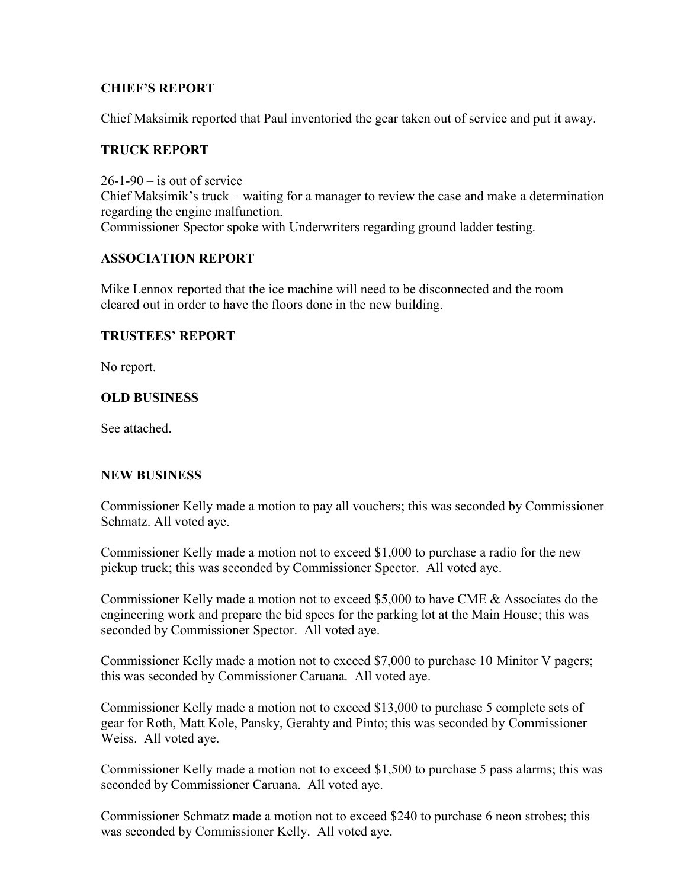## **CHIEF'S REPORT**

Chief Maksimik reported that Paul inventoried the gear taken out of service and put it away.

## **TRUCK REPORT**

 $26-1-90$  – is out of service Chief Maksimik's truck – waiting for a manager to review the case and make a determination regarding the engine malfunction. Commissioner Spector spoke with Underwriters regarding ground ladder testing.

## **ASSOCIATION REPORT**

Mike Lennox reported that the ice machine will need to be disconnected and the room cleared out in order to have the floors done in the new building.

#### **TRUSTEES' REPORT**

No report.

## **OLD BUSINESS**

See attached.

#### **NEW BUSINESS**

Commissioner Kelly made a motion to pay all vouchers; this was seconded by Commissioner Schmatz. All voted aye.

Commissioner Kelly made a motion not to exceed \$1,000 to purchase a radio for the new pickup truck; this was seconded by Commissioner Spector. All voted aye.

Commissioner Kelly made a motion not to exceed \$5,000 to have CME & Associates do the engineering work and prepare the bid specs for the parking lot at the Main House; this was seconded by Commissioner Spector. All voted aye.

Commissioner Kelly made a motion not to exceed \$7,000 to purchase 10 Minitor V pagers; this was seconded by Commissioner Caruana. All voted aye.

Commissioner Kelly made a motion not to exceed \$13,000 to purchase 5 complete sets of gear for Roth, Matt Kole, Pansky, Gerahty and Pinto; this was seconded by Commissioner Weiss. All voted aye.

Commissioner Kelly made a motion not to exceed \$1,500 to purchase 5 pass alarms; this was seconded by Commissioner Caruana. All voted aye.

Commissioner Schmatz made a motion not to exceed \$240 to purchase 6 neon strobes; this was seconded by Commissioner Kelly. All voted aye.